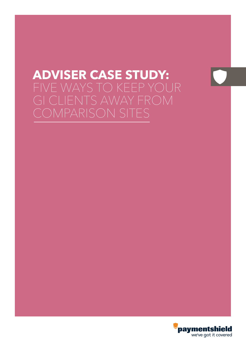# **ADVISER CASE STUDY:**  FIVE WAYS TO KEEP YOUR GI CLIENTS AWAY FROM COMPARISON SITES

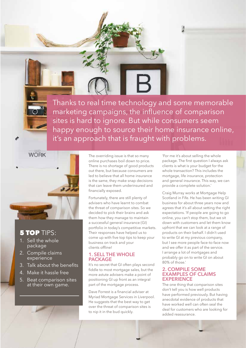Thanks to real time technology and some memorable marketing campaigns, the influence of comparison sites is hard to ignore. But while consumers seem happy enough to source their home insurance online, it's an approach that is fraught with problems.

> The overriding issue is that so many online purchases boil down to price. There is no shortage of good products out there, but because consumers are led to believe that all home insurance is the same, they make snap decisions that can leave them underinsured and financially exposed.

Fortunately, there are still plenty of advisers who have learnt to combat the threat of comparison sites. So we decided to pick their brains and ask them how they manage to maintain a successful general insurance (GI) portfolio in today's competitive markets. Their responses have helped us to come up with five top tips to keep your business on track and your clients offline!

### **1. SELL THE WHOLE PACKAGE**

It's no secret that GI often plays second fiddle to most mortgage sales, but the more astute advisers make a point of positioning GI up front as an integral part of the mortgage process.

Dave Forrest is a financial adviser at Myriad Mortgage Services in Liverpool. He suggests that the best way to get over the threat of comparison sites is to nip it in the bud quickly.

'For me it's about selling the whole package. The first question I always ask clients is what is your budget for the whole transaction? This includes the mortgage, life insurance, protection and general insurance. This way, we can provide a complete solution.'

Craig Murray works at Mortgage Help Scotland in Fife. He has been writing GI business for about three years now and agrees that it's all about setting the right expectations. 'If people are going to go online, you can't stop them, but we sit down with customers and let them know upfront that we can look at a range of products on their behalf. I didn't used to write GI at my previous company, but I see more people face-to-face now and we offer it as part of the service. I arrange a lot of mortgages and probably go on to write GI on about 80% of those.'

### **2. COMPILE SOME EXAMPLES OF CLAIMS EXPERIENCE**

The one thing that comparison sites don't tell you is how well products have performed previously. But having anecdotal evidence of products that have worked well can often seal the deal for customers who are looking for added reassurance.

# **5 TOP TIPS:**

**WORK** 

- 1. Sell the whole package
- 2. Compile claims experience
- 3. Talk about the benefits
- 4. Make it hassle free
- 5. Beat comparison sites at their own game.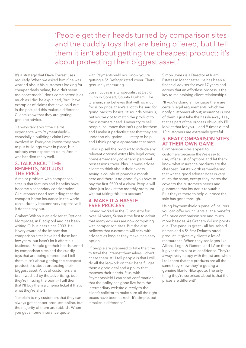'People get their heads turned by comparison sites and the cuddly toys that are being offered, but I tell them it isn't about getting the cheapest product; it's about protecting their biggest asset.'

It's a strategy that Dave Forrest uses regularly. When we asked him if he was worried about his customers looking for cheaper deals online, he didn't seem too concerned: 'I don't come across it as much as I did' he explained, 'but I have examples of claims that have paid out in the past and this makes a difference. Clients know that they are getting genuine advice.

'I always talk about the claims experience with Paymentshield – especially a buildings claim I was involved in. Everyone knows they have to put buildings cover in place, but nobody ever expects to claim. And it was handled really well.'

#### **3. TALK ABOUT THE BENEFITS, NOT JUST THE PRICE**

A major problem with comparison sites is that features and benefits have become a secondary consideration. GI customers need reminding that the cheapest home insurance in the world can suddenly become very expensive if it doesn't pay out.

Graham Wilson is an adviser at Options Mortgages, in Blackpool and has been writing GI business since 2003. He is very aware of the impact that comparison sites have had these last few years, but hasn't let it affect his business: 'People get their heads turned by comparison sites and the cuddly toys that are being offered, but I tell them it isn't about getting the cheapest product; it's about protecting their biggest asset. A lot of customers are brain-washed by the advertising, but they're missing the point – I tell them that I'll buy them a cinema ticket if that's what they're after!

'I explain to my customers that they can always get cheaper products online, but the majority of them are rubbish. When you get a home insurance quote

with Paymentshield you know you're getting a 5\* Defaqto rated cover. That's genuinely reassuring.'

Susan Lucas is a GI specialist at David Dunn in Consett, County Durham. Like Graham, she believes that with so much focus on price, there's a lot to be said for going back to basics: 'It sounds obvious, but you've got to match the product to the customers need. I never try to sell people insurance that isn't right for them and I make it perfectly clear that they are under no obligation – I just try to help and I think people appreciate that more.

'I also up sell the product to include any relevant optional extras like legal cover, home emergency cover and personal possessions cover. Plus, I always advise clients to think about their excess saving a couple of pounds a month here and there is no good if you have to pay the first £500 of a claim. People will often just look at the monthly premium without taking this into account.'

# **4. MAKE IT A HASSLE FREE PROCESS**

Having worked in the GI industry for over 14 years, Susan is the first to admit that many advisers are now competing with comparison sites. But she also believes that customers will stick with advisers as long as they make it an easy option.

'If people are prepared to take the time to trawl the internet themselves, I don't chase them. All I tell people is that I will do all the legwork on their behalf. I get them a good deal and a policy that matches their needs. Plus, with Paymentshield I can send confirmation that the policy has gone live from the intermediary website directly to the client's solicitor to make sure all the right boxes have been ticked – It's simple, but it makes a difference.'

Simon Jones is a Director at Irlam Estates in Manchester. He has been a financial adviser for over 17 years and agrees that an effortless process is the key to maintaining client relationships.

 'If you're doing a mortgage there are certain legal requirements, which we notify customers about; insurance is one of them. I just take the hassle away. I say that as part of the process obviously I'll look at that for you… and 9 times out of 10 customers are extremely grateful.'

## **5. BEAT COMPARISON SITES AT THEIR OWN GAME**

Comparison sites appeal to customers because they're easy to use, offer a list of options and let them know what insurance products are the cheapest. But it's worth remembering that what a good adviser does is very much the same, except they match the cover to the customer's needs and guarantee that insurer is reputable. Plus they're there to help out once the sale has gone through.

Using Paymentshield's panel of insurers you can offer your clients all the benefits of a price comparison site and much more besides. As Graham Wilson points out, 'The panel is great – all household names and a 5\* Star Defaqto rated product. It gives my clients a lot of reassurance. When they see logos like Allianz, Legal & General and LV on there it gives them a lot of confidence. They're always very happy with the list and when I tell them that the products are all the same they know they're getting a genuine like-for-like quote. The only thing they're surprised about is that the prices are different!'